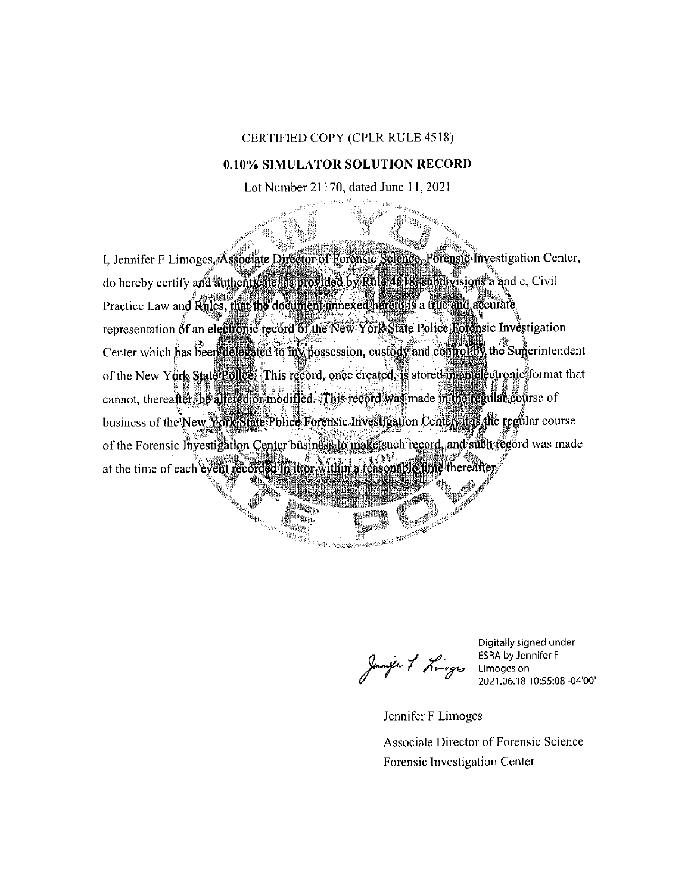## CERTIFIED COPY (CPLR RULE 4518)

## 0.10% SIMULATOR SOLUTION RECORD

Lot Number 21170, dated June 11, 2021

I, Jennifer F Limoges, Associate Director of Horensic Science, Porensic Investigation Center, do hereby certify and authenticate as provided by Rule 4818, subdivisions a and c. Civil Practice Law and Rules, that the document annexed hereto is a true and accurate representation of an electronic record of the New York State Police Rotensic Investigation Center which has been delegated to my possession, custody and controlley the Superintendent of the New York State Police: This record, once created, is stored in an electronic format that cannot, thereafter be altered or modified. This record was made in the regular course of business of the New York State Police Forensic Investigation Center it is the regular course of the Forensic Investigation Center business to make such record, and such record was made at the time of each event recorded in thor within a reasonable time thereafter **SALES AND STATES ROOMS AND STATES AND STATES PORTION OF THE REAL PROPERTY AND STATES AND STATES AND STATES POR**<br>STATES AND STATES AND STATES AND STATES AND STATES PORTION OF THE REAL PROPERTY AND STATES AND STATES AND STA

in. **ANDROIDEAN** 

**ALL SERVICE** 

Janife 7. Limoges Limoges on

**ERECTION SERVICES** 

Digitally signed under ESRA by Jennifer F 2021.06.18 10:55:08 -04'00'

Jennifer F Limoges

Associate Director of Forensic Science Forensic Investigation Center

AND RESEARCH